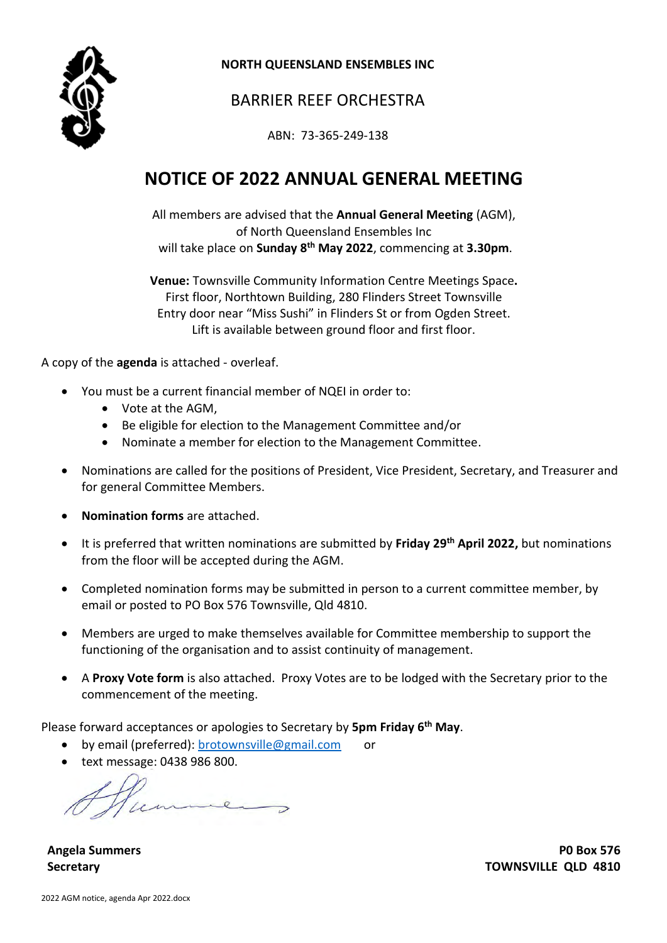

**NORTH QUEENSLAND ENSEMBLES INC** 

## BARRIER REEF ORCHESTRA

ABN: 73-365-249-138

# **NOTICE OF 2022 ANNUAL GENERAL MEETING**

All members are advised that the **Annual General Meeting** (AGM), of North Queensland Ensembles Inc will take place on **Sunday 8 th May 2022**, commencing at **3.30pm**.

**Venue:** Townsville Community Information Centre Meetings Space**.** First floor, Northtown Building, 280 Flinders Street Townsville Entry door near "Miss Sushi" in Flinders St or from Ogden Street. Lift is available between ground floor and first floor.

A copy of the **agenda** is attached - overleaf.

- You must be a current financial member of NQEI in order to:
	- Vote at the AGM,
	- Be eligible for election to the Management Committee and/or
	- Nominate a member for election to the Management Committee.
- Nominations are called for the positions of President, Vice President, Secretary, and Treasurer and for general Committee Members.
- **Nomination forms** are attached.
- It is preferred that written nominations are submitted by **Friday 29th April 2022,** but nominations from the floor will be accepted during the AGM.
- Completed nomination forms may be submitted in person to a current committee member, by email or posted to PO Box 576 Townsville, Qld 4810.
- Members are urged to make themselves available for Committee membership to support the functioning of the organisation and to assist continuity of management.
- A **Proxy Vote form** is also attached. Proxy Votes are to be lodged with the Secretary prior to the commencement of the meeting.

Please forward acceptances or apologies to Secretary by **5pm Friday 6 th May**.

- by email (preferred): [brotownsville@gmail.com](mailto:brotownsville@gmail.com) or
- text message: 0438 986 800.

**Angela Summers P0 Box 576 Secretary TOWNSVILLE QLD 4810**